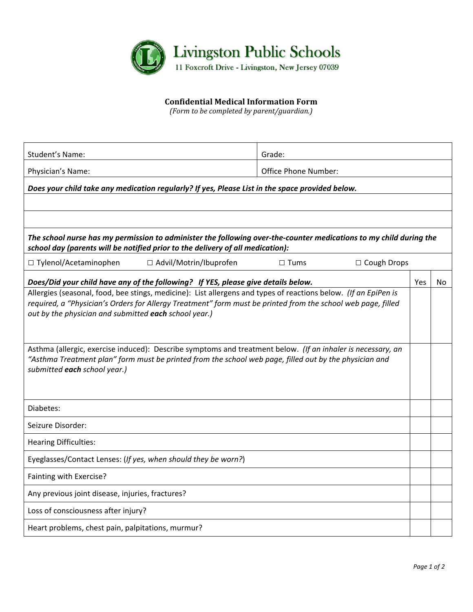

## **Confidential Medical Information Form**

*(Form to be completed by parent/guardian.)*

| Student's Name:                                                                                                                                                                                                                                                                          | Grade:               |  |     |  |  |  |  |
|------------------------------------------------------------------------------------------------------------------------------------------------------------------------------------------------------------------------------------------------------------------------------------------|----------------------|--|-----|--|--|--|--|
| Physician's Name:                                                                                                                                                                                                                                                                        | Office Phone Number: |  |     |  |  |  |  |
| Does your child take any medication regularly? If yes, Please List in the space provided below.                                                                                                                                                                                          |                      |  |     |  |  |  |  |
|                                                                                                                                                                                                                                                                                          |                      |  |     |  |  |  |  |
|                                                                                                                                                                                                                                                                                          |                      |  |     |  |  |  |  |
| The school nurse has my permission to administer the following over-the-counter medications to my child during the<br>school day (parents will be notified prior to the delivery of all medication):                                                                                     |                      |  |     |  |  |  |  |
| □ Tylenol/Acetaminophen<br>□ Advil/Motrin/Ibuprofen<br>□ Cough Drops<br>$\Box$ Tums                                                                                                                                                                                                      |                      |  |     |  |  |  |  |
| Does/Did your child have any of the following? If YES, please give details below.                                                                                                                                                                                                        |                      |  | No. |  |  |  |  |
| Allergies (seasonal, food, bee stings, medicine): List allergens and types of reactions below. (If an EpiPen is<br>required, a "Physician's Orders for Allergy Treatment" form must be printed from the school web page, filled<br>out by the physician and submitted each school year.) |                      |  |     |  |  |  |  |
| Asthma (allergic, exercise induced): Describe symptoms and treatment below. (If an inhaler is necessary, an<br>"Asthma Treatment plan" form must be printed from the school web page, filled out by the physician and<br>submitted each school year.)                                    |                      |  |     |  |  |  |  |
| Diabetes:                                                                                                                                                                                                                                                                                |                      |  |     |  |  |  |  |
| Seizure Disorder:                                                                                                                                                                                                                                                                        |                      |  |     |  |  |  |  |
| <b>Hearing Difficulties:</b>                                                                                                                                                                                                                                                             |                      |  |     |  |  |  |  |
| Eyeglasses/Contact Lenses: (If yes, when should they be worn?)                                                                                                                                                                                                                           |                      |  |     |  |  |  |  |
| Fainting with Exercise?                                                                                                                                                                                                                                                                  |                      |  |     |  |  |  |  |
| Any previous joint disease, injuries, fractures?                                                                                                                                                                                                                                         |                      |  |     |  |  |  |  |
| Loss of consciousness after injury?                                                                                                                                                                                                                                                      |                      |  |     |  |  |  |  |
| Heart problems, chest pain, palpitations, murmur?                                                                                                                                                                                                                                        |                      |  |     |  |  |  |  |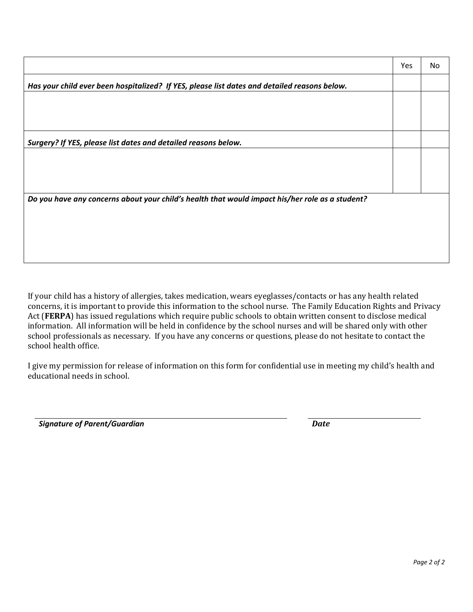|                                                                                                 | Yes | No |  |  |  |  |
|-------------------------------------------------------------------------------------------------|-----|----|--|--|--|--|
| Has your child ever been hospitalized? If YES, please list dates and detailed reasons below.    |     |    |  |  |  |  |
|                                                                                                 |     |    |  |  |  |  |
|                                                                                                 |     |    |  |  |  |  |
| Surgery? If YES, please list dates and detailed reasons below.                                  |     |    |  |  |  |  |
|                                                                                                 |     |    |  |  |  |  |
|                                                                                                 |     |    |  |  |  |  |
|                                                                                                 |     |    |  |  |  |  |
| Do you have any concerns about your child's health that would impact his/her role as a student? |     |    |  |  |  |  |
|                                                                                                 |     |    |  |  |  |  |
|                                                                                                 |     |    |  |  |  |  |
|                                                                                                 |     |    |  |  |  |  |
|                                                                                                 |     |    |  |  |  |  |

If your child has a history of allergies, takes medication, wears eyeglasses/contacts or has any health related concerns, it is important to provide this information to the school nurse. The Family Education Rights and Privacy Act (FERPA) has issued regulations which require public schools to obtain written consent to disclose medical information. All information will be held in confidence by the school nurses and will be shared only with other school professionals as necessary. If you have any concerns or questions, please do not hesitate to contact the school health office.

I give my permission for release of information on this form for confidential use in meeting my child's health and educational needs in school.

*Signature of Parent/Guardian Date*